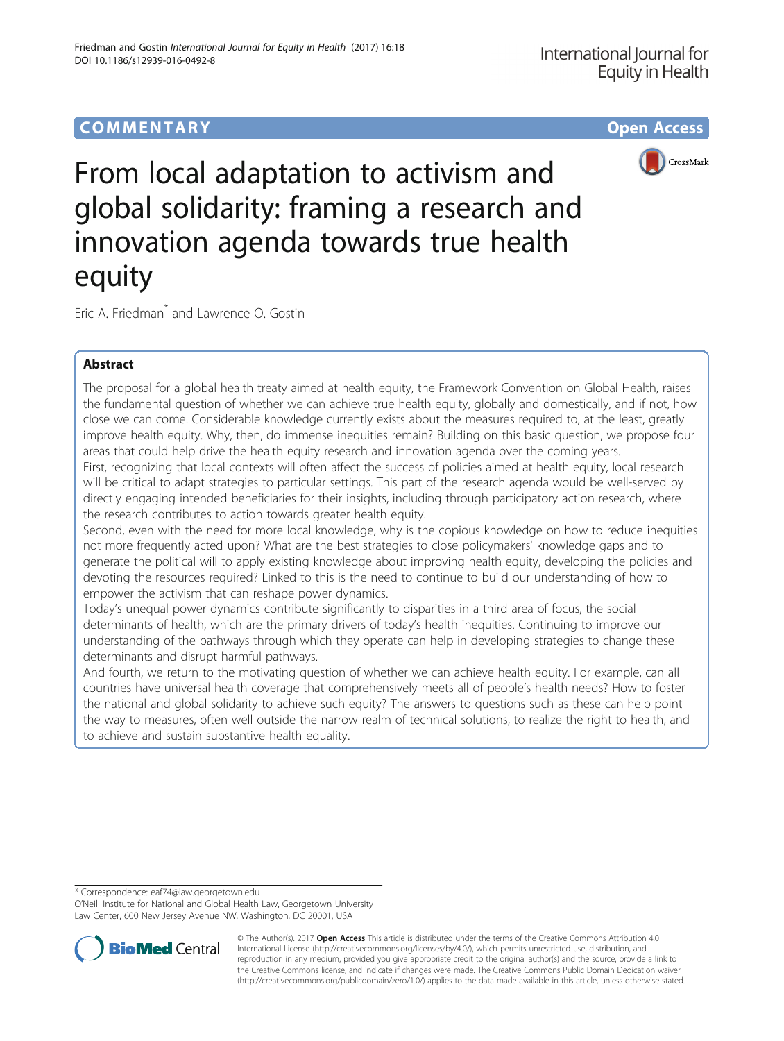# COMM EN TARY Open Access



From local adaptation to activism and global solidarity: framing a research and innovation agenda towards true health equity

Eric A. Friedman\* and Lawrence O. Gostin

## Abstract

The proposal for a global health treaty aimed at health equity, the Framework Convention on Global Health, raises the fundamental question of whether we can achieve true health equity, globally and domestically, and if not, how close we can come. Considerable knowledge currently exists about the measures required to, at the least, greatly improve health equity. Why, then, do immense inequities remain? Building on this basic question, we propose four areas that could help drive the health equity research and innovation agenda over the coming years. First, recognizing that local contexts will often affect the success of policies aimed at health equity, local research will be critical to adapt strategies to particular settings. This part of the research agenda would be well-served by directly engaging intended beneficiaries for their insights, including through participatory action research, where

the research contributes to action towards greater health equity.

Second, even with the need for more local knowledge, why is the copious knowledge on how to reduce inequities not more frequently acted upon? What are the best strategies to close policymakers' knowledge gaps and to generate the political will to apply existing knowledge about improving health equity, developing the policies and devoting the resources required? Linked to this is the need to continue to build our understanding of how to empower the activism that can reshape power dynamics.

Today's unequal power dynamics contribute significantly to disparities in a third area of focus, the social determinants of health, which are the primary drivers of today's health inequities. Continuing to improve our understanding of the pathways through which they operate can help in developing strategies to change these determinants and disrupt harmful pathways.

And fourth, we return to the motivating question of whether we can achieve health equity. For example, can all countries have universal health coverage that comprehensively meets all of people's health needs? How to foster the national and global solidarity to achieve such equity? The answers to questions such as these can help point the way to measures, often well outside the narrow realm of technical solutions, to realize the right to health, and to achieve and sustain substantive health equality.

\* Correspondence: [eaf74@law.georgetown.edu](mailto:eaf74@law.georgetown.edu)

O'Neill Institute for National and Global Health Law, Georgetown University Law Center, 600 New Jersey Avenue NW, Washington, DC 20001, USA



© The Author(s). 2017 **Open Access** This article is distributed under the terms of the Creative Commons Attribution 4.0 International License [\(http://creativecommons.org/licenses/by/4.0/](http://creativecommons.org/licenses/by/4.0/)), which permits unrestricted use, distribution, and reproduction in any medium, provided you give appropriate credit to the original author(s) and the source, provide a link to the Creative Commons license, and indicate if changes were made. The Creative Commons Public Domain Dedication waiver [\(http://creativecommons.org/publicdomain/zero/1.0/](http://creativecommons.org/publicdomain/zero/1.0/)) applies to the data made available in this article, unless otherwise stated.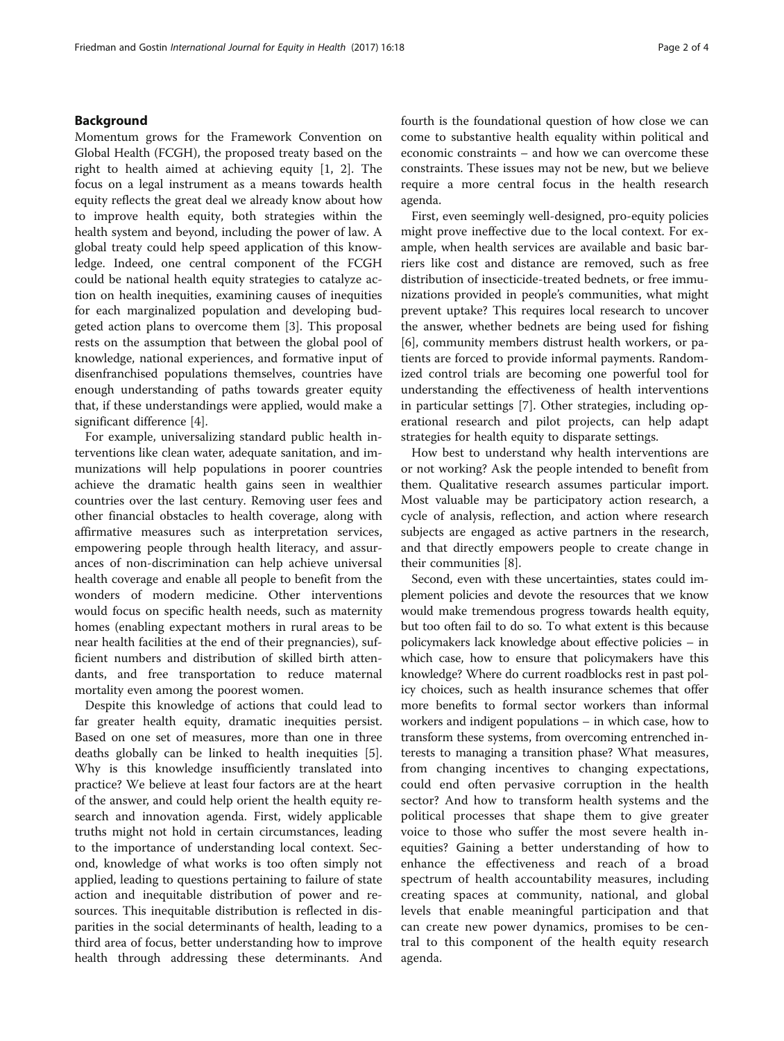## Background

Momentum grows for the Framework Convention on Global Health (FCGH), the proposed treaty based on the right to health aimed at achieving equity [\[1](#page-3-0), [2\]](#page-3-0). The focus on a legal instrument as a means towards health equity reflects the great deal we already know about how to improve health equity, both strategies within the health system and beyond, including the power of law. A global treaty could help speed application of this knowledge. Indeed, one central component of the FCGH could be national health equity strategies to catalyze action on health inequities, examining causes of inequities for each marginalized population and developing budgeted action plans to overcome them [[3\]](#page-3-0). This proposal rests on the assumption that between the global pool of knowledge, national experiences, and formative input of disenfranchised populations themselves, countries have enough understanding of paths towards greater equity that, if these understandings were applied, would make a significant difference [[4\]](#page-3-0).

For example, universalizing standard public health interventions like clean water, adequate sanitation, and immunizations will help populations in poorer countries achieve the dramatic health gains seen in wealthier countries over the last century. Removing user fees and other financial obstacles to health coverage, along with affirmative measures such as interpretation services, empowering people through health literacy, and assurances of non-discrimination can help achieve universal health coverage and enable all people to benefit from the wonders of modern medicine. Other interventions would focus on specific health needs, such as maternity homes (enabling expectant mothers in rural areas to be near health facilities at the end of their pregnancies), sufficient numbers and distribution of skilled birth attendants, and free transportation to reduce maternal mortality even among the poorest women.

Despite this knowledge of actions that could lead to far greater health equity, dramatic inequities persist. Based on one set of measures, more than one in three deaths globally can be linked to health inequities [\[5](#page-3-0)]. Why is this knowledge insufficiently translated into practice? We believe at least four factors are at the heart of the answer, and could help orient the health equity research and innovation agenda. First, widely applicable truths might not hold in certain circumstances, leading to the importance of understanding local context. Second, knowledge of what works is too often simply not applied, leading to questions pertaining to failure of state action and inequitable distribution of power and resources. This inequitable distribution is reflected in disparities in the social determinants of health, leading to a third area of focus, better understanding how to improve health through addressing these determinants. And fourth is the foundational question of how close we can come to substantive health equality within political and economic constraints – and how we can overcome these constraints. These issues may not be new, but we believe require a more central focus in the health research agenda.

First, even seemingly well-designed, pro-equity policies might prove ineffective due to the local context. For example, when health services are available and basic barriers like cost and distance are removed, such as free distribution of insecticide-treated bednets, or free immunizations provided in people's communities, what might prevent uptake? This requires local research to uncover the answer, whether bednets are being used for fishing [[6\]](#page-3-0), community members distrust health workers, or patients are forced to provide informal payments. Randomized control trials are becoming one powerful tool for understanding the effectiveness of health interventions in particular settings [\[7](#page-3-0)]. Other strategies, including operational research and pilot projects, can help adapt strategies for health equity to disparate settings.

How best to understand why health interventions are or not working? Ask the people intended to benefit from them. Qualitative research assumes particular import. Most valuable may be participatory action research, a cycle of analysis, reflection, and action where research subjects are engaged as active partners in the research, and that directly empowers people to create change in their communities [[8\]](#page-3-0).

Second, even with these uncertainties, states could implement policies and devote the resources that we know would make tremendous progress towards health equity, but too often fail to do so. To what extent is this because policymakers lack knowledge about effective policies – in which case, how to ensure that policymakers have this knowledge? Where do current roadblocks rest in past policy choices, such as health insurance schemes that offer more benefits to formal sector workers than informal workers and indigent populations – in which case, how to transform these systems, from overcoming entrenched interests to managing a transition phase? What measures, from changing incentives to changing expectations, could end often pervasive corruption in the health sector? And how to transform health systems and the political processes that shape them to give greater voice to those who suffer the most severe health inequities? Gaining a better understanding of how to enhance the effectiveness and reach of a broad spectrum of health accountability measures, including creating spaces at community, national, and global levels that enable meaningful participation and that can create new power dynamics, promises to be central to this component of the health equity research agenda.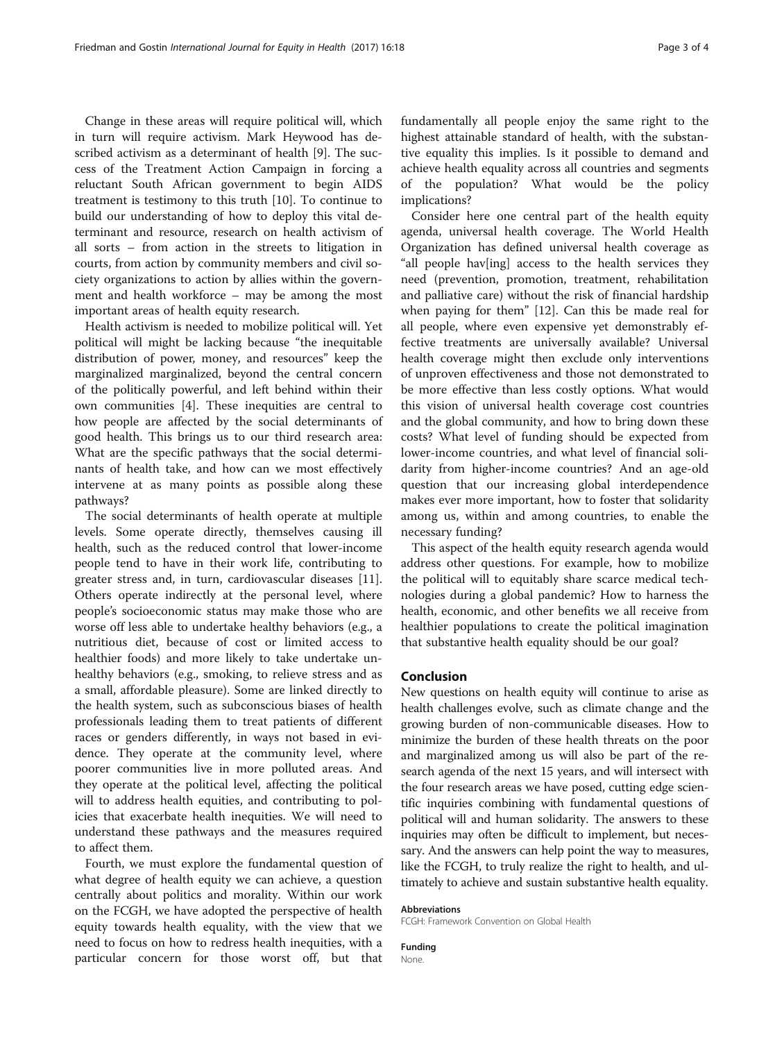Change in these areas will require political will, which in turn will require activism. Mark Heywood has described activism as a determinant of health [[9\]](#page-3-0). The success of the Treatment Action Campaign in forcing a reluctant South African government to begin AIDS treatment is testimony to this truth [[10\]](#page-3-0). To continue to build our understanding of how to deploy this vital determinant and resource, research on health activism of all sorts – from action in the streets to litigation in courts, from action by community members and civil society organizations to action by allies within the government and health workforce – may be among the most important areas of health equity research.

Health activism is needed to mobilize political will. Yet political will might be lacking because "the inequitable distribution of power, money, and resources" keep the marginalized marginalized, beyond the central concern of the politically powerful, and left behind within their own communities [[4\]](#page-3-0). These inequities are central to how people are affected by the social determinants of good health. This brings us to our third research area: What are the specific pathways that the social determinants of health take, and how can we most effectively intervene at as many points as possible along these pathways?

The social determinants of health operate at multiple levels. Some operate directly, themselves causing ill health, such as the reduced control that lower-income people tend to have in their work life, contributing to greater stress and, in turn, cardiovascular diseases [\[11](#page-3-0)]. Others operate indirectly at the personal level, where people's socioeconomic status may make those who are worse off less able to undertake healthy behaviors (e.g., a nutritious diet, because of cost or limited access to healthier foods) and more likely to take undertake unhealthy behaviors (e.g., smoking, to relieve stress and as a small, affordable pleasure). Some are linked directly to the health system, such as subconscious biases of health professionals leading them to treat patients of different races or genders differently, in ways not based in evidence. They operate at the community level, where poorer communities live in more polluted areas. And they operate at the political level, affecting the political will to address health equities, and contributing to policies that exacerbate health inequities. We will need to understand these pathways and the measures required to affect them.

Fourth, we must explore the fundamental question of what degree of health equity we can achieve, a question centrally about politics and morality. Within our work on the FCGH, we have adopted the perspective of health equity towards health equality, with the view that we need to focus on how to redress health inequities, with a particular concern for those worst off, but that

fundamentally all people enjoy the same right to the highest attainable standard of health, with the substantive equality this implies. Is it possible to demand and achieve health equality across all countries and segments of the population? What would be the policy implications?

Consider here one central part of the health equity agenda, universal health coverage. The World Health Organization has defined universal health coverage as "all people hav[ing] access to the health services they need (prevention, promotion, treatment, rehabilitation and palliative care) without the risk of financial hardship when paying for them" [\[12](#page-3-0)]. Can this be made real for all people, where even expensive yet demonstrably effective treatments are universally available? Universal health coverage might then exclude only interventions of unproven effectiveness and those not demonstrated to be more effective than less costly options. What would this vision of universal health coverage cost countries and the global community, and how to bring down these costs? What level of funding should be expected from lower-income countries, and what level of financial solidarity from higher-income countries? And an age-old question that our increasing global interdependence makes ever more important, how to foster that solidarity among us, within and among countries, to enable the necessary funding?

This aspect of the health equity research agenda would address other questions. For example, how to mobilize the political will to equitably share scarce medical technologies during a global pandemic? How to harness the health, economic, and other benefits we all receive from healthier populations to create the political imagination that substantive health equality should be our goal?

### Conclusion

New questions on health equity will continue to arise as health challenges evolve, such as climate change and the growing burden of non-communicable diseases. How to minimize the burden of these health threats on the poor and marginalized among us will also be part of the research agenda of the next 15 years, and will intersect with the four research areas we have posed, cutting edge scientific inquiries combining with fundamental questions of political will and human solidarity. The answers to these inquiries may often be difficult to implement, but necessary. And the answers can help point the way to measures, like the FCGH, to truly realize the right to health, and ultimately to achieve and sustain substantive health equality.

### Abbreviations

FCGH: Framework Convention on Global Health

Funding None.